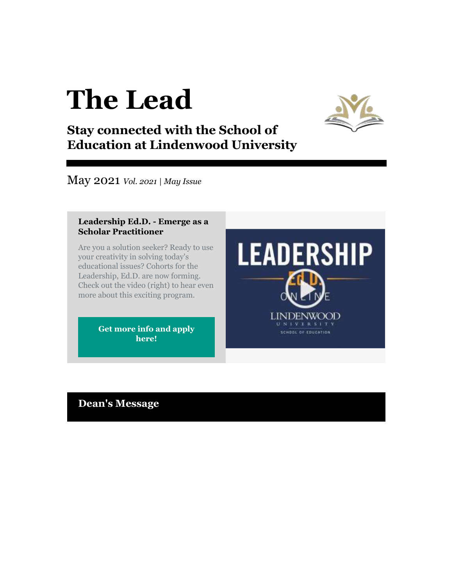# **The Lead**



## **Stay connected with the School of Education at Lindenwood University**

May 2021 *Vol. 2021 | May Issue*

#### **Leadership Ed.D. - Emerge as a Scholar Practitioner**

Are you a solution seeker? Ready to use your creativity in solving today's educational issues? Cohorts for the Leadership, Ed.D. are now forming. Check out the video (right) to hear even more about this exciting program.

> **[Get more info and apply](http://r20.rs6.net/tn.jsp?f=001kmkT15KdcAopYr-uanhYVQZTY6htYZt0EcfoxlaLtAMBRYSqnI2XL9Ifejmy9NR10F13u9j1kBh9cpCoyloYJtsGCKC6uo__wCrQ_RLvGH6vOE_rj0waymQTsOx74eidcKyIrkoqRgru1nNI48YJgNtGDooigUyYIQ0GIYhQ_P74IxWoFltkH6yL6rxHda2QvCT3q1Qrc16ltyB-z4gux2wP9SvRt4-wu2i_g5dckuZITk2k3ZZPxqxxLO-v76funrf8eCg7QIOf0iVXS3AGtg==&c=k8ZcFZc9ZpGstgbUBinBLYlEjhFFabAsxUA1UjAKxcjiwLe77xLTVQ==&ch=F5n9lkHiD9vyRU3KJVEV_TswCy2P2Ej7xlWdWMSqFnpeYAhrcf-qNA==)  [here!](http://r20.rs6.net/tn.jsp?f=001kmkT15KdcAopYr-uanhYVQZTY6htYZt0EcfoxlaLtAMBRYSqnI2XL9Ifejmy9NR10F13u9j1kBh9cpCoyloYJtsGCKC6uo__wCrQ_RLvGH6vOE_rj0waymQTsOx74eidcKyIrkoqRgru1nNI48YJgNtGDooigUyYIQ0GIYhQ_P74IxWoFltkH6yL6rxHda2QvCT3q1Qrc16ltyB-z4gux2wP9SvRt4-wu2i_g5dckuZITk2k3ZZPxqxxLO-v76funrf8eCg7QIOf0iVXS3AGtg==&c=k8ZcFZc9ZpGstgbUBinBLYlEjhFFabAsxUA1UjAKxcjiwLe77xLTVQ==&ch=F5n9lkHiD9vyRU3KJVEV_TswCy2P2Ej7xlWdWMSqFnpeYAhrcf-qNA==)**

## **LEADERSHIP LINDENWOOD** UNIVERSIT' SCHOOL OF EDUCATION

## **Dean's Message**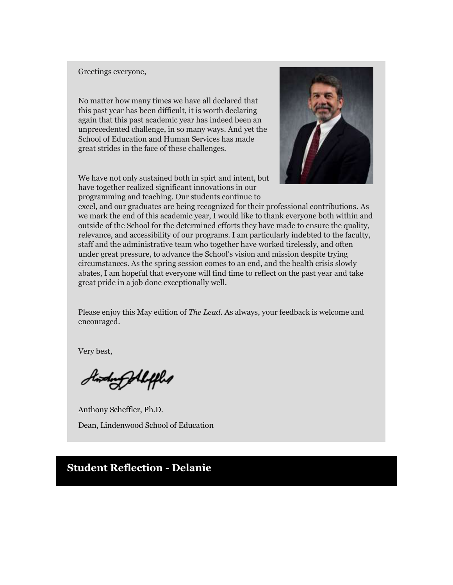#### Greetings everyone,

No matter how many times we have all declared that this past year has been difficult, it is worth declaring again that this past academic year has indeed been an unprecedented challenge, in so many ways. And yet the School of Education and Human Services has made great strides in the face of these challenges.

We have not only sustained both in spirt and intent, but have together realized significant innovations in our programming and teaching. Our students continue to



excel, and our graduates are being recognized for their professional contributions. As we mark the end of this academic year, I would like to thank everyone both within and outside of the School for the determined efforts they have made to ensure the quality, relevance, and accessibility of our programs. I am particularly indebted to the faculty, staff and the administrative team who together have worked tirelessly, and often under great pressure, to advance the School's vision and mission despite trying circumstances. As the spring session comes to an end, and the health crisis slowly abates, I am hopeful that everyone will find time to reflect on the past year and take great pride in a job done exceptionally well.

Please enjoy this May edition of *The Lead*. As always, your feedback is welcome and encouraged.

Very best,

Andrey Aleffled

Anthony Scheffler, Ph.D. Dean, Lindenwood School of Education

## **Student Reflection - Delanie**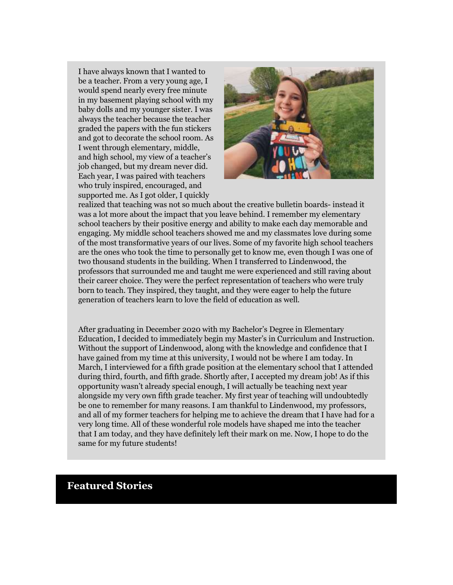I have always known that I wanted to be a teacher. From a very young age, I would spend nearly every free minute in my basement playing school with my baby dolls and my younger sister. I was always the teacher because the teacher graded the papers with the fun stickers and got to decorate the school room. As I went through elementary, middle, and high school, my view of a teacher's job changed, but my dream never did. Each year, I was paired with teachers who truly inspired, encouraged, and supported me. As I got older, I quickly



realized that teaching was not so much about the creative bulletin boards- instead it was a lot more about the impact that you leave behind. I remember my elementary school teachers by their positive energy and ability to make each day memorable and engaging. My middle school teachers showed me and my classmates love during some of the most transformative years of our lives. Some of my favorite high school teachers are the ones who took the time to personally get to know me, even though I was one of two thousand students in the building. When I transferred to Lindenwood, the professors that surrounded me and taught me were experienced and still raving about their career choice. They were the perfect representation of teachers who were truly born to teach. They inspired, they taught, and they were eager to help the future generation of teachers learn to love the field of education as well.

After graduating in December 2020 with my Bachelor's Degree in Elementary Education, I decided to immediately begin my Master's in Curriculum and Instruction. Without the support of Lindenwood, along with the knowledge and confidence that I have gained from my time at this university, I would not be where I am today. In March, I interviewed for a fifth grade position at the elementary school that I attended during third, fourth, and fifth grade. Shortly after, I accepted my dream job! As if this opportunity wasn't already special enough, I will actually be teaching next year alongside my very own fifth grade teacher. My first year of teaching will undoubtedly be one to remember for many reasons. I am thankful to Lindenwood, my professors, and all of my former teachers for helping me to achieve the dream that I have had for a very long time. All of these wonderful role models have shaped me into the teacher that I am today, and they have definitely left their mark on me. Now, I hope to do the same for my future students!

#### **Featured Stories**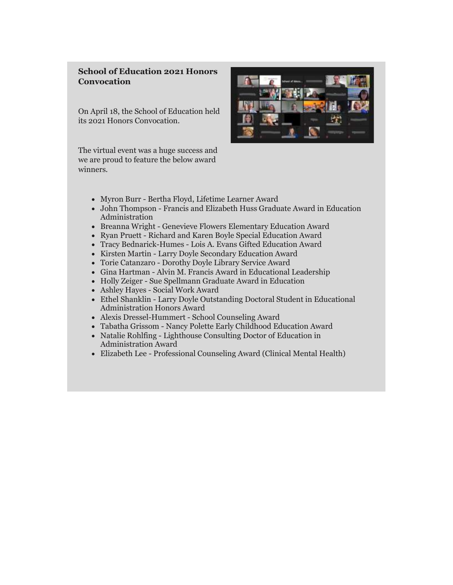#### **School of Education 2021 Honors Convocation**

On April 18, the School of Education held its 2021 Honors Convocation.

The virtual event was a huge success and we are proud to feature the below award winners.



- Myron Burr Bertha Floyd, Lifetime Learner Award
- John Thompson Francis and Elizabeth Huss Graduate Award in Education Administration
- Breanna Wright Genevieve Flowers Elementary Education Award
- Ryan Pruett Richard and Karen Boyle Special Education Award
- Tracy Bednarick-Humes Lois A. Evans Gifted Education Award
- Kirsten Martin Larry Doyle Secondary Education Award
- Torie Catanzaro Dorothy Doyle Library Service Award
- Gina Hartman Alvin M. Francis Award in Educational Leadership
- Holly Zeiger Sue Spellmann Graduate Award in Education
- Ashley Hayes Social Work Award
- Ethel Shanklin Larry Doyle Outstanding Doctoral Student in Educational Administration Honors Award
- Alexis Dressel-Hummert School Counseling Award
- Tabatha Grissom Nancy Polette Early Childhood Education Award
- Natalie Rohlfing Lighthouse Consulting Doctor of Education in Administration Award
- Elizabeth Lee Professional Counseling Award (Clinical Mental Health)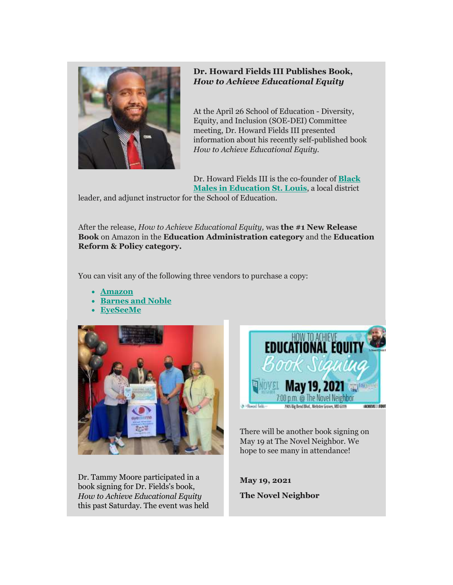

#### **Dr. Howard Fields III Publishes Book,**  *How to Achieve Educational Equity*

At the April 26 School of Education - Diversity, Equity, and Inclusion (SOE-DEI) Committee meeting, Dr. Howard Fields III presented information about his recently self-published book *How to Achieve Educational Equity.*

Dr. Howard Fields III is the co-founder of **[Black](http://r20.rs6.net/tn.jsp?f=001kmkT15KdcAopYr-uanhYVQZTY6htYZt0EcfoxlaLtAMBRYSqnI2XL1u2Bw844MzArHUi7iUKNciEVWrCdfz_ranjtoBAsZBJn0gioljliAMIvZR-mUPkVbOqhDi9-ncVdM9BOAYQTm0=&c=k8ZcFZc9ZpGstgbUBinBLYlEjhFFabAsxUA1UjAKxcjiwLe77xLTVQ==&ch=F5n9lkHiD9vyRU3KJVEV_TswCy2P2Ej7xlWdWMSqFnpeYAhrcf-qNA==)  [Males in Education St. Louis](http://r20.rs6.net/tn.jsp?f=001kmkT15KdcAopYr-uanhYVQZTY6htYZt0EcfoxlaLtAMBRYSqnI2XL1u2Bw844MzArHUi7iUKNciEVWrCdfz_ranjtoBAsZBJn0gioljliAMIvZR-mUPkVbOqhDi9-ncVdM9BOAYQTm0=&c=k8ZcFZc9ZpGstgbUBinBLYlEjhFFabAsxUA1UjAKxcjiwLe77xLTVQ==&ch=F5n9lkHiD9vyRU3KJVEV_TswCy2P2Ej7xlWdWMSqFnpeYAhrcf-qNA==)**, a local district

leader, and adjunct instructor for the School of Education.

After the release, *How to Achieve Educational Equity,* was **the #1 New Release Book** on Amazon in the **Education Administration category** and the **Education Reform & Policy category.**

You can visit any of the following three vendors to purchase a copy:

- **[Amazon](http://r20.rs6.net/tn.jsp?f=001kmkT15KdcAopYr-uanhYVQZTY6htYZt0EcfoxlaLtAMBRYSqnI2XL1u2Bw844MzAxjCqKbEXQg36QwVLMTMLIquokbmz-Dh66JYUp7z8zIQk0SPnUP1N5rKiCu0BgmwyMl0UjqpX3PNo1de2ElXCBEeAMD3_NrWZ73UafuLefJcACIiMzeu_o10zToEEAJzLZm86B4dplM4dlpI5LYP7U6b0ukahZxKpE7A3iUssH-DgEc-8tPBZgU9Ai6FEdKw0kXQVMNGB5-5WvlntkgE5iZGDKyZC_M5tw6n0jIEjeQjXUJO1-kasY5PbFL0KS-U-qO7Cwsgmyqr3A-kqkANPKSMrJa5sMAPZ5wdiWUSUQiGuSTqGt7b1w0LgBxfeq8HsULSlTo-CqHqiAlL25yXbFOUyhkGVZqTZsdPSlpBV53QT94HHXZ2zBB6xJXDf5aehjVJFQ94cIkF0RL6O_exbjXjOYujPb8n3vF1pMG1k4IewUG0guxt3vxr7tt1YdaWB_5XJOQKWQb-7epVxhvxWnDnlunW-JHLJDGjHjAZ9_SnESoTrGvwrhkwHMkC2xsErXaIhhQSi5FenFcPfsMk3mHdTS3q7NB58Q89elR2R-oNaHlJIaZa1DX-ubrkec8rEaQ4YoKTEZuEOJSfBErJtZHBv2iB62hwAMrl_9HRxwD5_b4f4426nCEiDceT1aIkrW58odOpo14nDmE1WKBvw4Q==&c=k8ZcFZc9ZpGstgbUBinBLYlEjhFFabAsxUA1UjAKxcjiwLe77xLTVQ==&ch=F5n9lkHiD9vyRU3KJVEV_TswCy2P2Ej7xlWdWMSqFnpeYAhrcf-qNA==)**
- **[Barnes and Noble](http://r20.rs6.net/tn.jsp?f=001kmkT15KdcAopYr-uanhYVQZTY6htYZt0EcfoxlaLtAMBRYSqnI2XL1u2Bw844MzABMFtH2gcX7ulcjoTcDDTdMzjuhP2EhWDW11vRkCODTj_HMkLSGZ9y3Zibc32FfmOkDOp6Isvz96eeb9fhnUrYqfE40QnRedL52F9KNnhfgpGP0CXR_cB6O2JeSe6giMszRLqgnqT8_AoSOUiKn2P5vaSexFBrCdi2uJKxCMQLAZA8krvnxlqUh3w7g4AsXO_hadYRoB3pPaJKWldcfiWHTt8t2BJ9RrvLotwBGjmz1EV_KZTniujaIci6RFpPvmc7cxEoIOsojYMjJbOg_4ddhvnfvorHAGuj5dGM56Sd3hHmBv9s810TotFHVSnOnjZSeqP7Qi7QmQz9YDj0n5cdlx9dXUrWbhMzYYFphpeu8-l4i_CdaoHU5iGe_XIAskhGE_iRfuzpmzQRQGFVwXBqQi5NBa8LdgQIbNjjDwJo67_8E4I6NV3arRgWA1JfHizIapAnQ5c82uOvjdJrLOpx6ljm9s61XNTNofSnWrTP6udW7KslE0PzSi-2kATbTVc-DrHoAYCB5rPxyLTI42Evim1ReF5QMfQZqr0oTbAT0XlnXLLQLI6q_DoaNRfsr1jSN5-_RofSZ6Wi5kw8A1SPw3jt-u_NhBBIrQnfe0c15f7WFEiKMgYHMGYpdZphe4pIyHtc-ZexW4HfUZ7ER27SxvtIx2GsWzHbkIJSqyi2SdzwNtV8mxI1E7mgvLU2uBpimA3JGrv2kx5SbdxFb4HN9LK_L_MIxZCNcjWQGHpBD-ngD4JAfSJo7s9Nnd-UVbm7guIFDb6Brg=&c=k8ZcFZc9ZpGstgbUBinBLYlEjhFFabAsxUA1UjAKxcjiwLe77xLTVQ==&ch=F5n9lkHiD9vyRU3KJVEV_TswCy2P2Ej7xlWdWMSqFnpeYAhrcf-qNA==)**
- **[EyeSeeMe](http://r20.rs6.net/tn.jsp?f=001kmkT15KdcAopYr-uanhYVQZTY6htYZt0EcfoxlaLtAMBRYSqnI2XL1u2Bw844MzAiIv30oat6yYJYKMMDOegXYoU2xcQtWKlPzpqBTF3O1xd3LslgDHdYF9aemaPGxmqv9oP7pzO1dSaQN9PHDvo_xw8iIywYu_K96nvWf169z6Hhs_twZ8d3ezj4JuKpIInNkWs8KGPpyBNJ_KT4mBIaSdkO471Vsl-UqiqTPstWk23SnMbLQJp9yDFxuSILgY-B5izdJjIki-5q7PrX7rOxqHMrEqw6ZAnjurFir60Dh9-G1lTvj4OVz3eP9AbfCXekTwOsfW7HnY5EYvkWiV29UKFM_NfeOA6syzXNBlqFVvo9y60-DPt4FyT_89ay1nbxBmqsWkirZPKw5z-Ci75RF4Oapk7BhsrHjdH1UarnwFFu81kCh0TiaTwF-QYvFGKiQieg2OWZ3UrJqxy9nIDefltgcQZpLZk-LJ6hB5lS8a6E_BZ_FhsMvbKzWNbBN-KXs_hTme_H22j7_79QCr4oGF9qgA4n4euLLe44IFccW4BhNHQBBdsJ7-MViCt41g_sQ69pHAig6m22gRdiav8l07SyPZYyK1oW-xsLTh5evc1QAS7e_yczBYa00lKaFMCLM7_JtqL-DYScYJZxcfEgLrjRqOf94JYtZYsGBHRfg8htX6ZiX9Jv4a1P3QFF0NCNO9EzaC589uIxCIIB9FVUdl_Fhzab9Uuz3iGNLRWNjLgYMxMhzn8KZd6qNDYXUizQYrhwM62rqBncJ9Pq-QAYgg8pwtuFzyseunLDNwwt6dVxONSJ4e8_f2WnCOdQlAp7YsXWARsvNAUl6168NFnsA==&c=k8ZcFZc9ZpGstgbUBinBLYlEjhFFabAsxUA1UjAKxcjiwLe77xLTVQ==&ch=F5n9lkHiD9vyRU3KJVEV_TswCy2P2Ej7xlWdWMSqFnpeYAhrcf-qNA==)**



Dr. Tammy Moore participated in a book signing for Dr. Fields's book, *How to Achieve Educational Equity* this past Saturday. The event was held



There will be another book signing on May 19 at The Novel Neighbor. We hope to see many in attendance!

**May 19, 2021 The Novel Neighbor**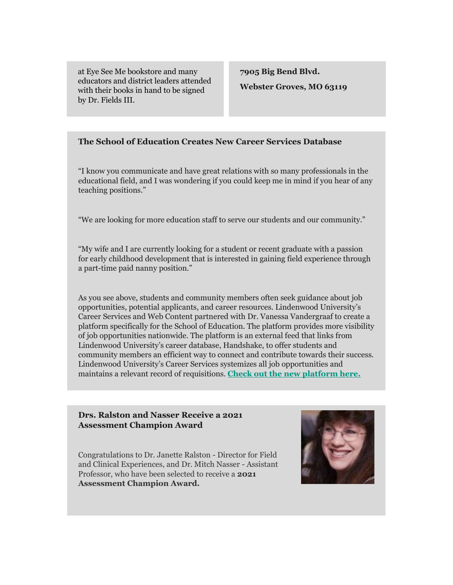at Eye See Me bookstore and many educators and district leaders attended with their books in hand to be signed by Dr. Fields III.

**7905 Big Bend Blvd. Webster Groves, MO 63119**

#### **The School of Education Creates New Career Services Database**

"I know you communicate and have great relations with so many professionals in the educational field, and I was wondering if you could keep me in mind if you hear of any teaching positions."

"We are looking for more education staff to serve our students and our community."

"My wife and I are currently looking for a student or recent graduate with a passion for early childhood development that is interested in gaining field experience through a part-time paid nanny position."

As you see above, students and community members often seek guidance about job opportunities, potential applicants, and career resources. Lindenwood University's Career Services and Web Content partnered with Dr. Vanessa Vandergraaf to create a platform specifically for the School of Education. The platform provides more visibility of job opportunities nationwide. The platform is an external feed that links from Lindenwood University's career database, Handshake, to offer students and community members an efficient way to connect and contribute towards their success. Lindenwood University's Career Services systemizes all job opportunities and maintains a relevant record of requisitions. **[Check out the new platform here.](http://r20.rs6.net/tn.jsp?f=001kmkT15KdcAopYr-uanhYVQZTY6htYZt0EcfoxlaLtAMBRYSqnI2XL1u2Bw844MzA5-HsDWujs6obD-YbDwVCQsvVs7i75TYbKEfzDSj13ZO_VGo0gmC7lyGurPRMemIwskK4k0RdYN71D6kwLLeXv9pSjcF2tOm-DgVV2PwUcE2z0zFsYAHsZDpc5TVwevaSl4Mbp9atjoS73Q-utLxszfH85MGpCE_H7Aist9Dilt5lQee9__tA4g==&c=k8ZcFZc9ZpGstgbUBinBLYlEjhFFabAsxUA1UjAKxcjiwLe77xLTVQ==&ch=F5n9lkHiD9vyRU3KJVEV_TswCy2P2Ej7xlWdWMSqFnpeYAhrcf-qNA==)**

#### **Drs. Ralston and Nasser Receive a 2021 Assessment Champion Award**

Congratulations to Dr. Janette Ralston - Director for Field and Clinical Experiences, and Dr. Mitch Nasser - Assistant Professor, who have been selected to receive a **2021 Assessment Champion Award.** 

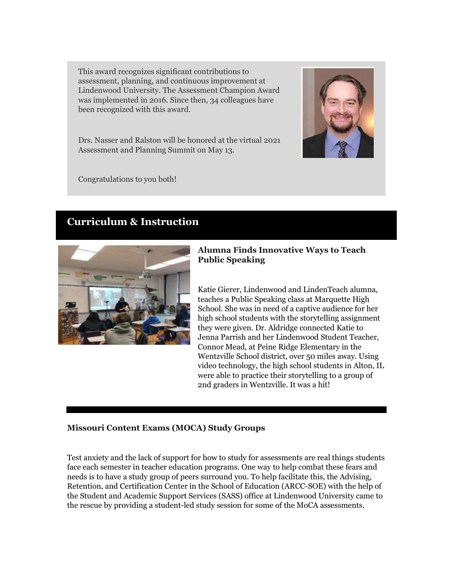This award recognizes significant contributions to assessment, planning, and continuous improvement at Lindenwood University. The Assessment Champion Award was implemented in 2016. Since then, 34 colleagues have been recognized with this award.



Drs. Nasser and Ralston will be honored at the virtual 2021 Assessment and Planning Summit on May 13.

Congratulations to you both!

## **Curriculum & Instruction**



#### **Alumna Finds Innovative Ways to Teach Public Speaking**

Katie Gierer, Lindenwood and LindenTeach alumna, teaches a Public Speaking class at Marquette High School. She was in need of a captive audience for her high school students with the storytelling assignment they were given. Dr. Aldridge connected Katie to Jenna Parrish and her Lindenwood Student Teacher, Connor Mead, at Peine Ridge Elementary in the Wentzville School district, over 50 miles away. Using video technology, the high school students in Alton, IL were able to practice their storytelling to a group of 2nd graders in Wentzville. It was a hit!

#### **Missouri Content Exams (MOCA) Study Groups**

Test anxiety and the lack of support for how to study for assessments are real things students face each semester in teacher education programs. One way to help combat these fears and needs is to have a study group of peers surround you. To help facilitate this, the Advising, Retention, and Certification Center in the School of Education (ARCC-SOE) with the help of the Student and Academic Support Services (SASS) office at Lindenwood University came to the rescue by providing a student-led study session for some of the MoCA assessments.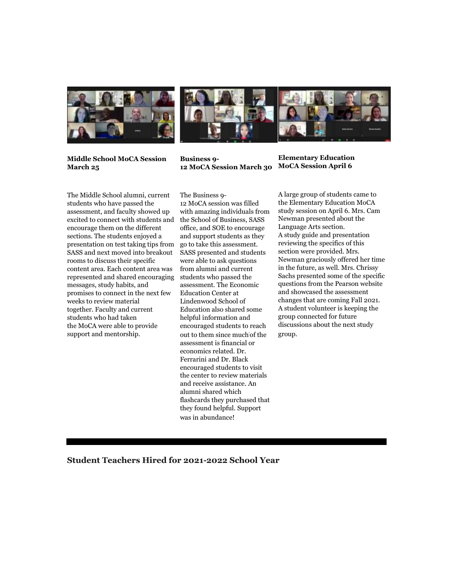



**Middle School MoCA Session March 25**

**Business 9- 12 MoCA Session March 30 MoCA Session April 6**

The Middle School alumni, current students who have passed the assessment, and faculty showed up excited to connect with students and encourage them on the different sections. The students enjoyed a presentation on test taking tips from SASS and next moved into breakout rooms to discuss their specific content area. Each content area was represented and shared encouraging messages, study habits, and promises to connect in the next few weeks to review material together. Faculty and current students who had taken the MoCA were able to provide support and mentorship.

The Business 9- 12 MoCA session was filled with amazing individuals from the School of Business, SASS office, and SOE to encourage and support students as they go to take this assessment. SASS presented and students were able to ask questions from alumni and current students who passed the assessment. The Economic Education Center at Lindenwood School of Education also shared some helpful information and encouraged students to reach out to them since muchof the assessment is financial or economics related. Dr. Ferrarini and Dr. Black encouraged students to visit the center to review materials and receive assistance. An alumni shared which flashcards they purchased that they found helpful. Support was in abundance!

**Elementary Education** 

A large group of students came to the Elementary Education MoCA study session on April 6. Mrs. Cam Newman presented about the Language Arts section. A study guide and presentation reviewing the specifics of this section were provided. Mrs. Newman graciously offered her time in the future, as well. Mrs. Chrissy Sachs presented some of the specific questions from the Pearson website and showcased the assessment changes that are coming Fall 2021. A student volunteer is keeping the group connected for future discussions about the next study group.

**Student Teachers Hired for 2021-2022 School Year**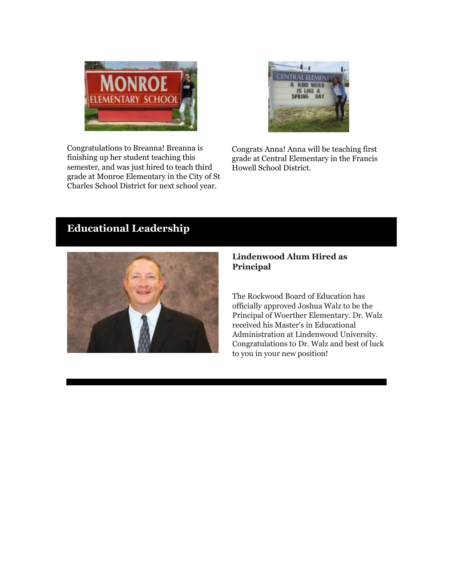

Congratulations to Breanna! Breanna is finishing up her student teaching this semester, and was just hired to teach third grade at Monroe Elementary in the City of St Charles School District for next school year.



Congrats Anna! Anna will be teaching first grade at Central Elementary in the Francis Howell School District.

## **Educational Leadership**



#### **Lindenwood Alum Hired as Principal**

The Rockwood Board of Education has officially approved Joshua Walz to be the Principal of Woerther Elementary. Dr. Walz received his Master's in Educational Administration at Lindenwood University. Congratulations to Dr. Walz and best of luck to you in your new position!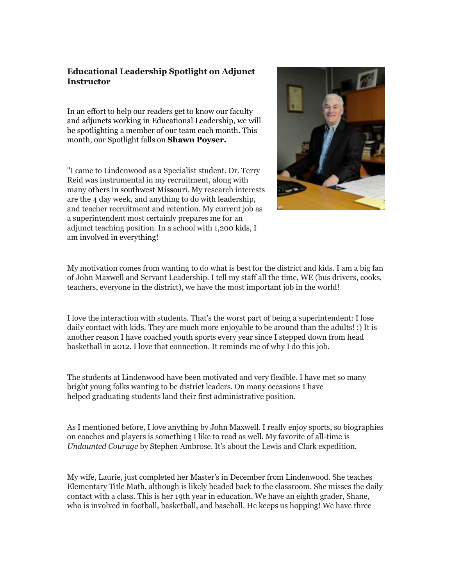#### **Educational Leadership Spotlight on Adjunct Instructor**

In an effort to help our readers get to know our faculty and adjuncts working in Educational Leadership, we will be spotlighting a member of our team each month. This month, our Spotlight falls on **Shawn Poyser.**

"I came to Lindenwood as a Specialist student. Dr. Terry Reid was instrumental in my recruitment, along with many others in southwest Missouri. My research interests are the 4 day week, and anything to do with leadership, and teacher recruitment and retention. My current job as a superintendent most certainly prepares me for an adjunct teaching position. In a school with 1,200 kids, I am involved in everything!



My motivation comes from wanting to do what is best for the district and kids. I am a big fan of John Maxwell and Servant Leadership. I tell my staff all the time, WE (bus drivers, cooks, teachers, everyone in the district), we have the most important job in the world!

I love the interaction with students. That's the worst part of being a superintendent: I lose daily contact with kids. They are much more enjoyable to be around than the adults! :) It is another reason I have coached youth sports every year since I stepped down from head basketball in 2012. I love that connection. It reminds me of why I do this job.

The students at Lindenwood have been motivated and very flexible. I have met so many bright young folks wanting to be district leaders. On many occasions I have helped graduating students land their first administrative position.

As I mentioned before, I love anything by John Maxwell. I really enjoy sports, so biographies on coaches and players is something I like to read as well. My favorite of all-time is *Undaunted Courage* by Stephen Ambrose. It's about the Lewis and Clark expedition.

My wife, Laurie, just completed her Master's in December from Lindenwood. She teaches Elementary Title Math, although is likely headed back to the classroom. She misses the daily contact with a class. This is her 19th year in education. We have an eighth grader, Shane, who is involved in football, basketball, and baseball. He keeps us hopping! We have three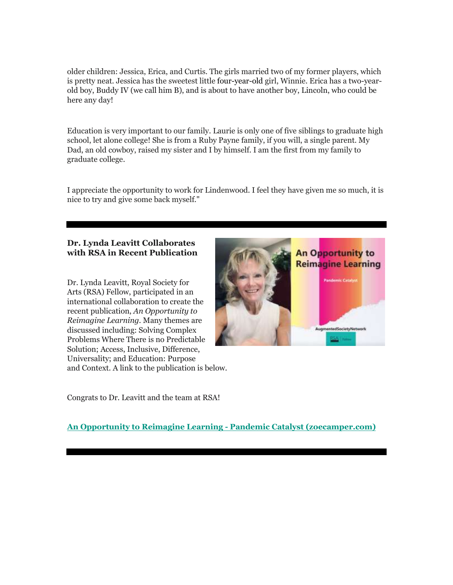older children: Jessica, Erica, and Curtis. The girls married two of my former players, which is pretty neat. Jessica has the sweetest little four-year-old girl, Winnie. Erica has a two-yearold boy, Buddy IV (we call him B), and is about to have another boy, Lincoln, who could be here any day!

Education is very important to our family. Laurie is only one of five siblings to graduate high school, let alone college! She is from a Ruby Payne family, if you will, a single parent. My Dad, an old cowboy, raised my sister and I by himself. I am the first from my family to graduate college.

I appreciate the opportunity to work for Lindenwood. I feel they have given me so much, it is nice to try and give some back myself."

#### **Dr. Lynda Leavitt Collaborates with RSA in Recent Publication**

Dr. Lynda Leavitt, Royal Society for Arts (RSA) Fellow, participated in an international collaboration to create the recent publication, *An Opportunity to Reimagine Learning*. Many themes are discussed including: Solving Complex Problems Where There is no Predictable Solution; Access, Inclusive, Difference, Universality; and Education: Purpose and Context. A link to the publication is below.



Congrats to Dr. Leavitt and the team at RSA!

#### **[An Opportunity to Reimagine Learning -](http://r20.rs6.net/tn.jsp?f=001kmkT15KdcAopYr-uanhYVQZTY6htYZt0EcfoxlaLtAMBRYSqnI2XL1u2Bw844MzAylX5i-6FxPw1TklNooKgs_UrxV1msu3A-ijnq2kOiT7B3xOgejttP1s1_xH75Zntu35xRvxf5O5F7fa2hziw8PQoVqxhrkhFvF0lJjkgjHGnZyQZT4BSK13c09ARR2qmUNSTMqLDYg4TYNfFunHXttHtOb2CGzgxDR5dySSCRxw=&c=k8ZcFZc9ZpGstgbUBinBLYlEjhFFabAsxUA1UjAKxcjiwLe77xLTVQ==&ch=F5n9lkHiD9vyRU3KJVEV_TswCy2P2Ej7xlWdWMSqFnpeYAhrcf-qNA==) Pandemic Catalyst (zoecamper.com)**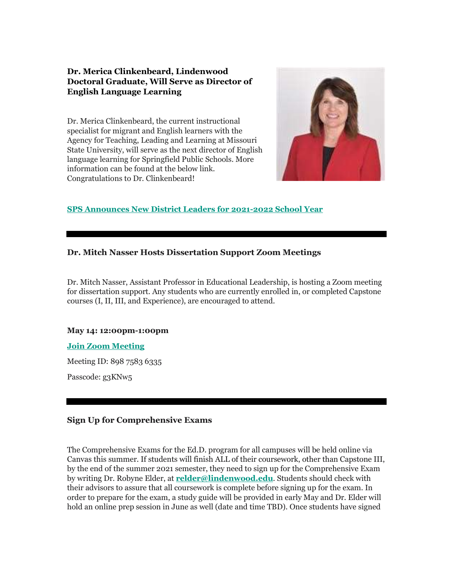#### **Dr. Merica Clinkenbeard, Lindenwood Doctoral Graduate, Will Serve as Director of English Language Learning**

Dr. Merica Clinkenbeard, the current instructional specialist for migrant and English learners with the Agency for Teaching, Leading and Learning at Missouri State University, will serve as the next director of English language learning for Springfield Public Schools. More information can be found at the below link. Congratulations to Dr. Clinkenbeard!



#### **[SPS Announces New District Leaders for 2021-2022 School Year](http://r20.rs6.net/tn.jsp?f=001kmkT15KdcAopYr-uanhYVQZTY6htYZt0EcfoxlaLtAMBRYSqnI2XL1u2Bw844MzABu8KMN2ERw0HqXjrdxm1KwcBV7Fi8aW9vdzrrJlEVqEP45-vDJR63Eaigf4dzYMyDVDcbfsN3uJShLv4udzo-d1-s53i1r1VO6hvGBKQoX01c2Mm1hMOB3-hSIl53DG6dC9lBi1AzNrz5SF9Diiy8fGEaPrvOsVXJ7-OE-CLcbQTJD4qHBzuMigf2h_hxuRKAT66lj36dp-NRKCmqZX2YxPX81SxNpJVWgwd1P0Ld90dwzloJu63F45ArDtYjSrgMQ_o-Vv-pCkokXy9At8AQLryQIn5qnErnyja8xpmzX8-Yv8ei3JVUw==&c=k8ZcFZc9ZpGstgbUBinBLYlEjhFFabAsxUA1UjAKxcjiwLe77xLTVQ==&ch=F5n9lkHiD9vyRU3KJVEV_TswCy2P2Ej7xlWdWMSqFnpeYAhrcf-qNA==)**

#### **Dr. Mitch Nasser Hosts Dissertation Support Zoom Meetings**

Dr. Mitch Nasser, Assistant Professor in Educational Leadership, is hosting a Zoom meeting for dissertation support. Any students who are currently enrolled in, or completed Capstone courses (I, II, III, and Experience), are encouraged to attend.

#### **May 14: 12:00pm-1:00pm**

#### **[Join Zoom Meeting](http://r20.rs6.net/tn.jsp?f=001kmkT15KdcAopYr-uanhYVQZTY6htYZt0EcfoxlaLtAMBRYSqnI2XL9Ifejmy9NR1rVgtnhUqUHQL2Me5uDr-NF3aXQUv0ZwK1DSEZK4yhN8dMW95aNYvfAD-90RLPA8aQT5s8PKYKie9zG1XZHELbEkRD_6M-3wdOfGDhzhOfD0_dUuwLoD0rW-Drs7LHEqKkPvpcWoMDgDAWTU0UYD3raAVyc-QIaBa&c=k8ZcFZc9ZpGstgbUBinBLYlEjhFFabAsxUA1UjAKxcjiwLe77xLTVQ==&ch=F5n9lkHiD9vyRU3KJVEV_TswCy2P2Ej7xlWdWMSqFnpeYAhrcf-qNA==)**

Meeting ID: 898 7583 6335

Passcode: g3KNw5

#### **Sign Up for Comprehensive Exams**

The Comprehensive Exams for the Ed.D. program for all campuses will be held online via Canvas this summer. If students will finish ALL of their coursework, other than Capstone III, by the end of the summer 2021 semester, they need to sign up for the Comprehensive Exam by writing Dr. Robyne Elder, at **[relder@lindenwood.edu](mailto:relder@lindenwood.edu)**. Students should check with their advisors to assure that all coursework is complete before signing up for the exam. In order to prepare for the exam, a study guide will be provided in early May and Dr. Elder will hold an online prep session in June as well (date and time TBD). Once students have signed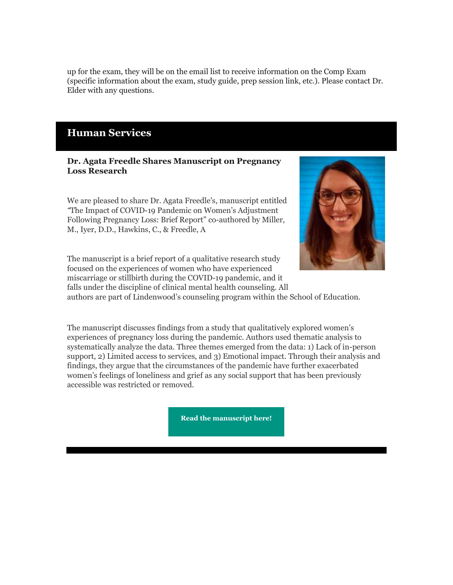up for the exam, they will be on the email list to receive information on the Comp Exam (specific information about the exam, study guide, prep session link, etc.). Please contact Dr. Elder with any questions.

### **Human Services**

#### **Dr. Agata Freedle Shares Manuscript on Pregnancy Loss Research**

We are pleased to share Dr. Agata Freedle's, manuscript entitled *"*The Impact of COVID-19 Pandemic on Women's Adjustment Following Pregnancy Loss: Brief Report" co-authored by Miller, M., Iyer, D.D., Hawkins, C., & Freedle, A



The manuscript is a brief report of a qualitative research study focused on the experiences of women who have experienced miscarriage or stillbirth during the COVID-19 pandemic, and it falls under the discipline of clinical mental health counseling. All

authors are part of Lindenwood's counseling program within the School of Education.

The manuscript discusses findings from a study that qualitatively explored women's experiences of pregnancy loss during the pandemic. Authors used thematic analysis to systematically analyze the data. Three themes emerged from the data: 1) Lack of in-person support, 2) Limited access to services, and 3) Emotional impact. Through their analysis and findings, they argue that the circumstances of the pandemic have further exacerbated women's feelings of loneliness and grief as any social support that has been previously accessible was restricted or removed.

**[Read the manuscript here!](http://r20.rs6.net/tn.jsp?f=001kmkT15KdcAopYr-uanhYVQZTY6htYZt0EcfoxlaLtAMBRYSqnI2XL1u2Bw844MzALELOUE1nX6jgQMIdM-ezUu5jQ6zdY-2UJxNFzuqcXWp4FTpU5TvbwOFuVjk2YK2I3bxxtUIVwywR_q66HflsUvrfLifNq8WAUaJGEPY-k3YEyAj_pXKGCY9JRCiN2bpasy_CZITyqC5fJY48DYJqWw==&c=k8ZcFZc9ZpGstgbUBinBLYlEjhFFabAsxUA1UjAKxcjiwLe77xLTVQ==&ch=F5n9lkHiD9vyRU3KJVEV_TswCy2P2Ej7xlWdWMSqFnpeYAhrcf-qNA==)**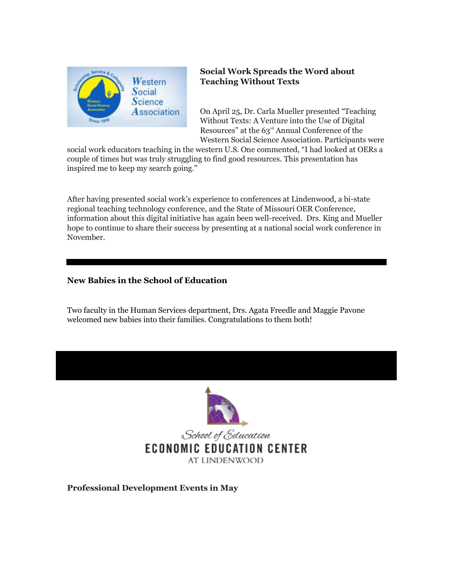

#### **Social Work Spreads the Word about Teaching Without Texts**

On April 25, Dr. Carla Mueller presented "Teaching Without Texts: A Venture into the Use of Digital Resources" at the 63<sup>rd</sup> Annual Conference of the Western Social Science Association. Participants were

social work educators teaching in the western U.S. One commented, "I had looked at OERs a couple of times but was truly struggling to find good resources. This presentation has inspired me to keep my search going."

After having presented social work's experience to conferences at Lindenwood, a bi-state regional teaching technology conference, and the State of Missouri OER Conference, information about this digital initiative has again been well-received. Drs. King and Mueller hope to continue to share their success by presenting at a national social work conference in November.

#### **New Babies in the School of Education**

Two faculty in the Human Services department, Drs. Agata Freedle and Maggie Pavone welcomed new babies into their families. Congratulations to them both!



**Professional Development Events in May**